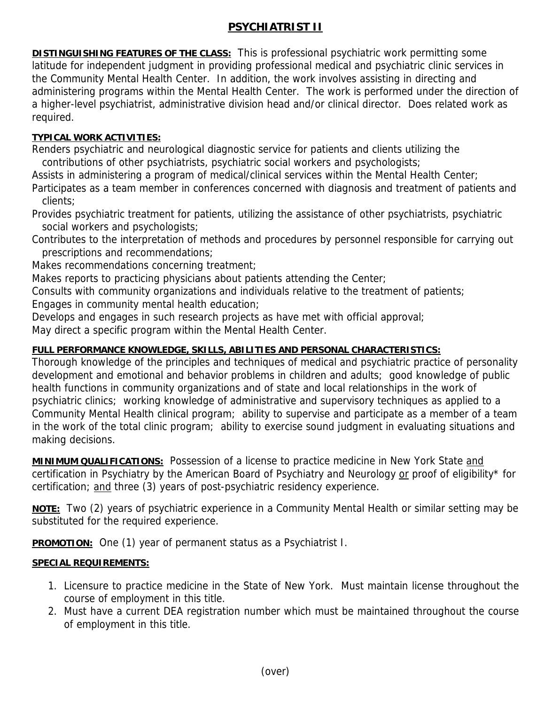## **PSYCHIATRIST II**

**DISTINGUISHING FEATURES OF THE CLASS:** This is professional psychiatric work permitting some latitude for independent judgment in providing professional medical and psychiatric clinic services in the Community Mental Health Center. In addition, the work involves assisting in directing and administering programs within the Mental Health Center. The work is performed under the direction of a higher-level psychiatrist, administrative division head and/or clinical director. Does related work as required.

## **TYPICAL WORK ACTIVITIES:**

Renders psychiatric and neurological diagnostic service for patients and clients utilizing the contributions of other psychiatrists, psychiatric social workers and psychologists;

Assists in administering a program of medical/clinical services within the Mental Health Center;

Participates as a team member in conferences concerned with diagnosis and treatment of patients and clients;

Provides psychiatric treatment for patients, utilizing the assistance of other psychiatrists, psychiatric social workers and psychologists;

Contributes to the interpretation of methods and procedures by personnel responsible for carrying out prescriptions and recommendations;

Makes recommendations concerning treatment;

Makes reports to practicing physicians about patients attending the Center;

Consults with community organizations and individuals relative to the treatment of patients; Engages in community mental health education;

Develops and engages in such research projects as have met with official approval;

May direct a specific program within the Mental Health Center.

## **FULL PERFORMANCE KNOWLEDGE, SKILLS, ABILITIES AND PERSONAL CHARACTERISTICS:**

Thorough knowledge of the principles and techniques of medical and psychiatric practice of personality development and emotional and behavior problems in children and adults; good knowledge of public health functions in community organizations and of state and local relationships in the work of psychiatric clinics; working knowledge of administrative and supervisory techniques as applied to a Community Mental Health clinical program; ability to supervise and participate as a member of a team in the work of the total clinic program; ability to exercise sound judgment in evaluating situations and making decisions.

**MINIMUM QUALIFICATIONS:** Possession of a license to practice medicine in New York State and certification in Psychiatry by the American Board of Psychiatry and Neurology or proof of eligibility\* for certification; and three (3) years of post-psychiatric residency experience.

**NOTE:** Two (2) years of psychiatric experience in a Community Mental Health or similar setting may be substituted for the required experience.

**PROMOTION:** One (1) year of permanent status as a Psychiatrist I.

## **SPECIAL REQUIREMENTS:**

- 1. Licensure to practice medicine in the State of New York. Must maintain license throughout the course of employment in this title.
- 2. Must have a current DEA registration number which must be maintained throughout the course of employment in this title.